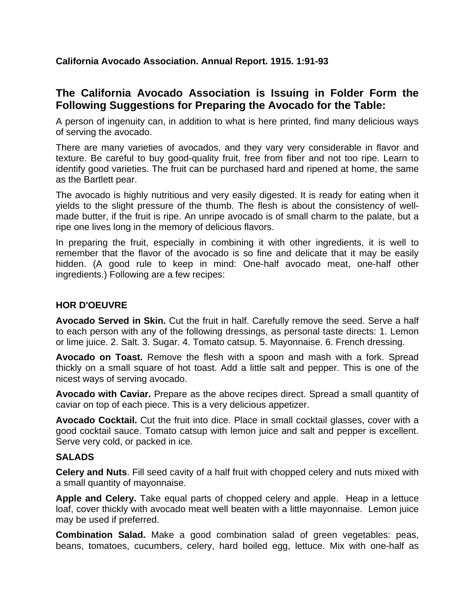## **California Avocado Association. Annual Report. 1915. 1:91-93**

## **The California Avocado Association is Issuing in Folder Form the Following Suggestions for Preparing the Avocado for the Table:**

A person of ingenuity can, in addition to what is here printed, find many delicious ways of serving the avocado.

There are many varieties of avocados, and they vary very considerable in flavor and texture. Be careful to buy good-quality fruit, free from fiber and not too ripe. Learn to identify good varieties. The fruit can be purchased hard and ripened at home, the same as the Bartlett pear.

The avocado is highly nutritious and very easily digested. It is ready for eating when it yields to the slight pressure of the thumb. The flesh is about the consistency of wellmade butter, if the fruit is ripe. An unripe avocado is of small charm to the palate, but a ripe one lives long in the memory of delicious flavors.

In preparing the fruit, especially in combining it with other ingredients, it is well to remember that the flavor of the avocado is so fine and delicate that it may be easily hidden. (A good rule to keep in mind: One-half avocado meat, one-half other ingredients.) Following are a few recipes:

## **HOR D'OEUVRE**

**Avocado Served in Skin.** Cut the fruit in half. Carefully remove the seed. Serve a half to each person with any of the following dressings, as personal taste directs: 1. Lemon or lime juice. 2. Salt. 3. Sugar. 4. Tomato catsup. 5. Mayonnaise. 6. French dressing.

**Avocado on Toast.** Remove the flesh with a spoon and mash with a fork. Spread thickly on a small square of hot toast. Add a little salt and pepper. This is one of the nicest ways of serving avocado.

**Avocado with Caviar.** Prepare as the above recipes direct. Spread a small quantity of caviar on top of each piece. This is a very delicious appetizer.

**Avocado Cocktail.** Cut the fruit into dice. Place in small cocktail glasses, cover with a good cocktail sauce. Tomato catsup with lemon juice and salt and pepper is excellent. Serve very cold, or packed in ice.

## **SALADS**

**Celery and Nuts**. Fill seed cavity of a half fruit with chopped celery and nuts mixed with a small quantity of mayonnaise.

**Apple and Celery.** Take equal parts of chopped celery and apple. Heap in a lettuce loaf, cover thickly with avocado meat well beaten with a little mayonnaise. Lemon juice may be used if preferred.

**Combination Salad.** Make a good combination salad of green vegetables: peas, beans, tomatoes, cucumbers, celery, hard boiled egg, lettuce. Mix with one-half as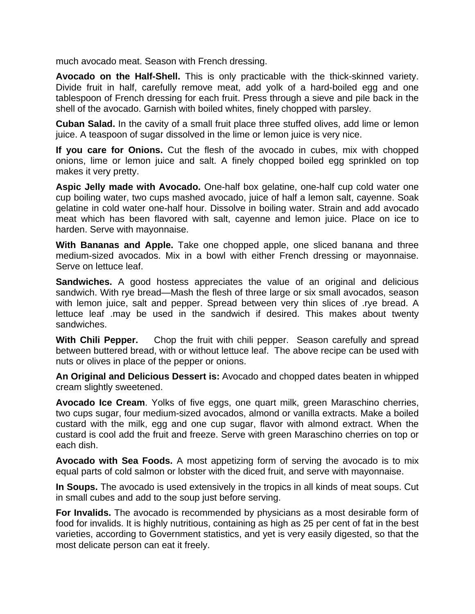much avocado meat. Season with French dressing.

**Avocado on the Half-Shell.** This is only practicable with the thick-skinned variety. Divide fruit in half, carefully remove meat, add yolk of a hard-boiled egg and one tablespoon of French dressing for each fruit. Press through a sieve and pile back in the shell of the avocado. Garnish with boiled whites, finely chopped with parsley.

**Cuban Salad.** In the cavity of a small fruit place three stuffed olives, add lime or lemon juice. A teaspoon of sugar dissolved in the lime or lemon juice is very nice.

**If you care for Onions.** Cut the flesh of the avocado in cubes, mix with chopped onions, lime or lemon juice and salt. A finely chopped boiled egg sprinkled on top makes it very pretty.

**Aspic Jelly made with Avocado.** One-half box gelatine, one-half cup cold water one cup boiling water, two cups mashed avocado, juice of half a lemon salt, cayenne. Soak gelatine in cold water one-half hour. Dissolve in boiling water. Strain and add avocado meat which has been flavored with salt, cayenne and lemon juice. Place on ice to harden. Serve with mayonnaise.

**With Bananas and Apple.** Take one chopped apple, one sliced banana and three medium-sized avocados. Mix in a bowl with either French dressing or mayonnaise. Serve on lettuce leaf.

**Sandwiches.** A good hostess appreciates the value of an original and delicious sandwich. With rye bread—Mash the flesh of three large or six small avocados, season with lemon juice, salt and pepper. Spread between very thin slices of rye bread. A lettuce leaf .may be used in the sandwich if desired. This makes about twenty sandwiches.

**With Chili Pepper.** Chop the fruit with chili pepper. Season carefully and spread between buttered bread, with or without lettuce leaf. The above recipe can be used with nuts or olives in place of the pepper or onions.

**An Original and Delicious Dessert is:** Avocado and chopped dates beaten in whipped cream slightly sweetened.

**Avocado Ice Cream**. Yolks of five eggs, one quart milk, green Maraschino cherries, two cups sugar, four medium-sized avocados, almond or vanilla extracts. Make a boiled custard with the milk, egg and one cup sugar, flavor with almond extract. When the custard is cool add the fruit and freeze. Serve with green Maraschino cherries on top or each dish.

**Avocado with Sea Foods.** A most appetizing form of serving the avocado is to mix equal parts of cold salmon or lobster with the diced fruit, and serve with mayonnaise.

**In Soups.** The avocado is used extensively in the tropics in all kinds of meat soups. Cut in small cubes and add to the soup just before serving.

**For Invalids.** The avocado is recommended by physicians as a most desirable form of food for invalids. It is highly nutritious, containing as high as 25 per cent of fat in the best varieties, according to Government statistics, and yet is very easily digested, so that the most delicate person can eat it freely.